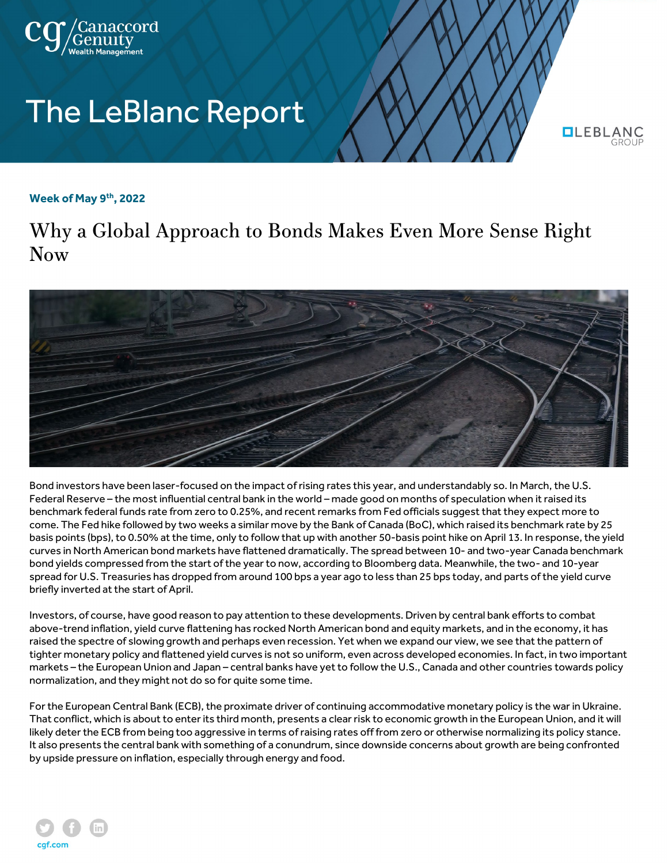

## **The LeBlanc Report**

**OLEBLAN** 

## **Week of May 9th, 2022**

Why a Global Approach to Bonds Makes Even More Sense Right Now



Bond investors have been laser-focused on the impact of rising rates this year, and understandably so. In March, the U.S. Federal Reserve – the most influential central bank in the world – made good on months of speculation when it raised its benchmark federal funds rate from zero to 0.25%, and recent remarks from Fed officials suggest that they expect more to come. The Fed hike followed by two weeks a similar move by the Bank of Canada (BoC), which raised its benchmark rate by 25 basis points (bps), to 0.50% at the time, only to follow that up with another 50-basis point hike on April 13. In response, the yield curves in North American bond markets have flattened dramatically. The spread between 10- and two-year Canada benchmark bond yields compressed from the start of the year to now, according to Bloomberg data. Meanwhile, the two- and 10-year spread for U.S. Treasuries has dropped from around 100 bps a year ago to less than 25 bps today, and parts of the yield curve briefly inverted at the start of April.

Investors, of course, have good reason to pay attention to these developments. Driven by central bank efforts to combat above-trend inflation, yield curve flattening has rocked North American bond and equity markets, and in the economy, it has raised the spectre of slowing growth and perhaps even recession. Yet when we expand our view, we see that the pattern of tighter monetary policy and flattened yield curves is not so uniform, even across developed economies. In fact, in two important markets – the European Union and Japan – central banks have yet to follow the U.S., Canada and other countries towards policy normalization, and they might not do so for quite some time.

For the European Central Bank (ECB), the proximate driver of continuing accommodative monetary policy is the war in Ukraine. That conflict, which is about to enter its third month, presents a clear risk to economic growth in the European Union, and it will likely deter the ECB from being too aggressive in terms of raising rates off from zero or otherwise normalizing its policy stance. It also presents the central bank with something of a conundrum, since downside concerns about growth are being confronted by upside pressure on inflation, especially through energy and food.

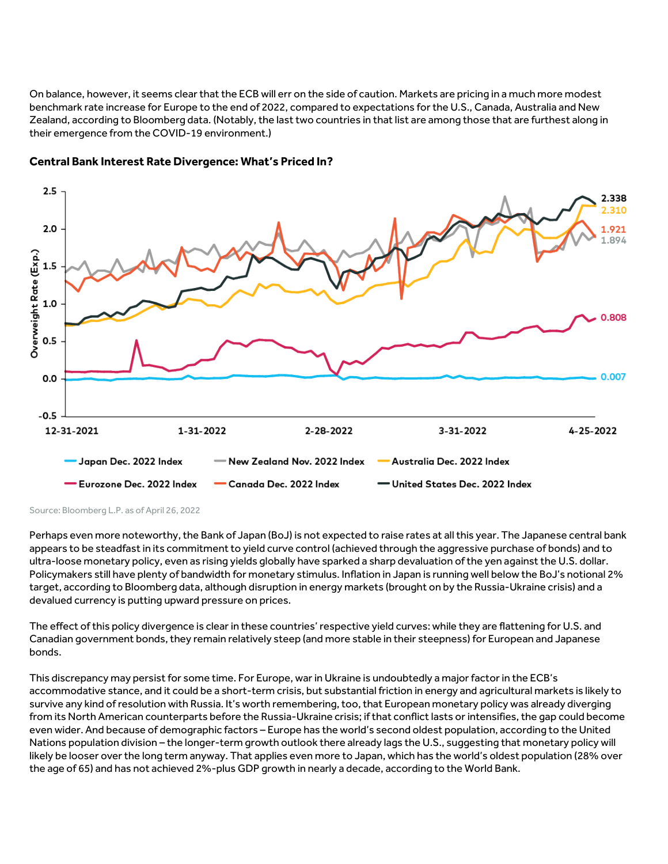On balance, however, it seems clear that the ECB will err on the side of caution. Markets are pricing in a much more modest benchmark rate increase for Europe to the end of 2022, compared to expectations for the U.S., Canada, Australia and New Zealand, according to Bloomberg data. (Notably, the last two countries in that list are among those that are furthest along in their emergence from the COVID-19 environment.)



## **Central Bank Interest Rate Divergence: What's Priced In?**

Source: Bloomberg L.P. as of April 26, 2022

Perhaps even more noteworthy, the Bank of Japan (BoJ) is not expected to raise rates at all this year. The Japanese central bank appears to be steadfast in its commitment to yield curve control (achieved through the aggressive purchase of bonds) and to ultra-loose monetary policy, even as rising yields globally have sparked a sharp devaluation of the yen against the U.S. dollar. Policymakers still have plenty of bandwidth for monetary stimulus. Inflation in Japan is running well below the BoJ's notional 2% target, according to Bloomberg data, although disruption in energy markets (brought on by the Russia-Ukraine crisis) and a devalued currency is putting upward pressure on prices.

The effect of this policy divergence is clear in these countries' respective yield curves: while they are flattening for U.S. and Canadian government bonds, they remain relatively steep (and more stable in their steepness) for European and Japanese bonds.

This discrepancy may persist for some time. For Europe, war in Ukraine is undoubtedly a major factor in the ECB's accommodative stance, and it could be a short-term crisis, but substantial friction in energy and agricultural markets is likely to survive any kind of resolution with Russia. It's worth remembering, too, that European monetary policy was already diverging from its North American counterparts before the Russia-Ukraine crisis; if that conflict lasts or intensifies, the gap could become even wider. And because of demographic factors – Europe has the world's second oldest population, according to the United Nations population division – the longer-term growth outlook there already lags the U.S., suggesting that monetary policy will likely be looser over the long term anyway. That applies even more to Japan, which has the world's oldest population (28% over the age of 65) and has not achieved 2%-plus GDP growth in nearly a decade, according to the World Bank.